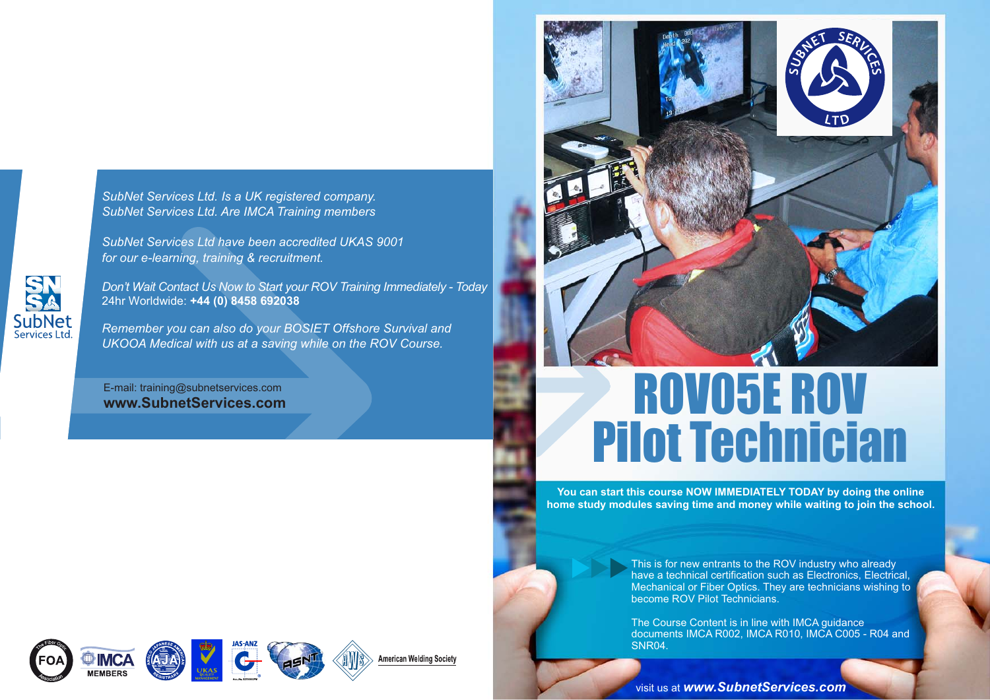*SubNet Services Ltd. Is a UK registered company.SubNet Services Ltd. Are IMCA Training members*

*SubNet Services Ltd have been accredited UKAS 9001for our e-learning, training & recruitment.*

**SubNet**<br>Services Ltd

*Don't Wait Contact Us Now to Start your ROV Training Immediately - Today*24hr Worldwide: **+44 (0) 8458 692038**

*Remember you can also do your BOSIET Offshore Survival andUKOOA Medical with us at a saving while on the ROV Course.*

E-mail: training@subnetservices.com **www.SubnetServices.com**



# ROV05E ROV Pilot Technician

**You can start this course NOW IMMEDIATELY TODAY by doing the online home study modules saving time and money while waiting to join the school.**

> This is for new entrants to the ROV industry who already have a technical certification such as Electronics, Electrical, Mechanical or Fiber Optics. They are technicians wishing to become ROV Pilot Technicians.

> The Course Content is in line with IMCA guidance documents IMCA R002, IMCA R010, IMCA C005 - R04 and SNR04.

visit us at *www.SubnetServices.com*

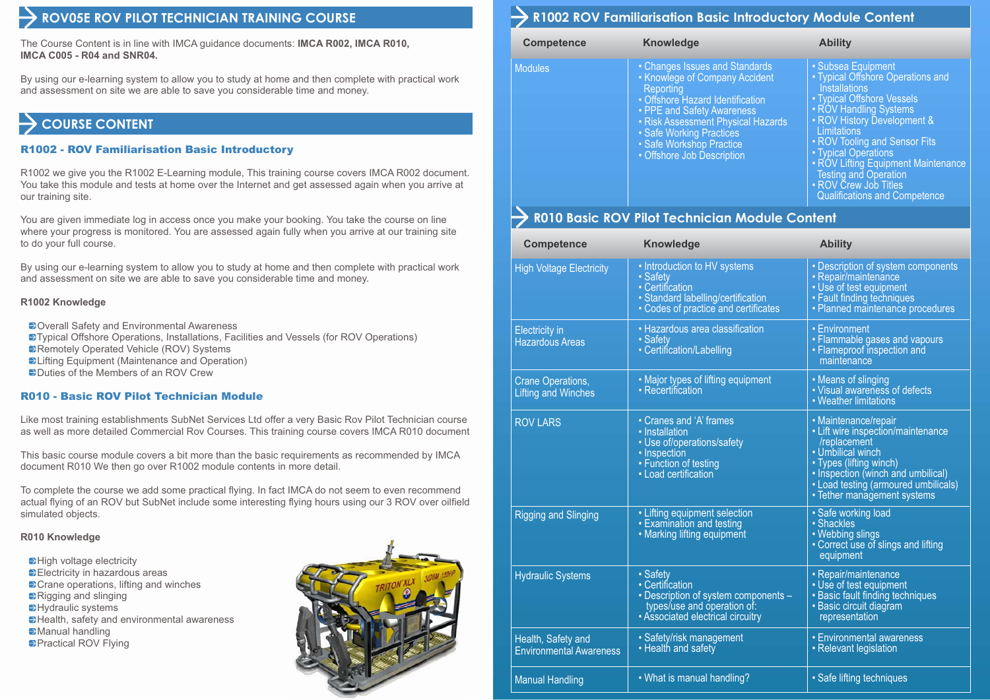## **ROV05E ROV PILOT TECHNICIAN TRAINING COURSE**

The Course Content is in line with IMCA guidance documents: **IMCA R002, IMCA R010, IMCA C005 - R04 and SNR04.**

By using our e-learning system to allow you to study at home and then complete with practical work and assessment on site we are able to save you considerable time and money.

# **COURSE CONTENT**

#### R1002 - ROV Familiarisation Basic Introductory

R1002 we give you the R1002 E-Learning module, This training course covers IMCA R002 document. You take this module and tests at home over the Internet and get assessed again when you arrive at our training site.

You are given immediate log in access once you make your booking. You take the course on line where your progress is monitored. You are assessed again fully when you arrive at our training site to do your full course.

By using our e-learning system to allow you to study at home and then complete with practical work and assessment on site we are able to save you considerable time and money.

#### **R1002 Knowledge**

- **Doverall Safety and Environmental Awareness**
- Typical Offshore Operations, Installations, Facilities and Vessels (for ROV Operations)
- Remotely Operated Vehicle (ROV) Systems
- **ELifting Equipment (Maintenance and Operation)**
- Duties of the Members of an ROV Crew

#### R010 - Basic ROV Pilot Technician Module

Like most training establishments SubNet Services Ltd offer a very Basic Rov Pilot Technician course as well as more detailed Commercial Rov Courses. This training course covers IMCA R010 document

This basic course module covers a bit more than the basic requirements as recommended by IMCA document R010 We then go over R1002 module contents in more detail.

To complete the course we add some practical flying. In fact IMCA do not seem to even recommend actual flying of an ROV but SubNet include some interesting flying hours using our 3 ROV over oilfield simulated objects.

#### **R010 Knowledge**

 $\rightarrow$  High voltage electricity Electricity in hazardous areas **Exame operations, lifting and winches** Rigging and slinging **Hydraulic systems E** Health, safety and environmental awareness **Manual handling Practical ROV Flying** 



# **R1002 ROV Familiarisation Basic Introductory Module Content**

| <b>Competence</b> | <b>Knowledge</b>                                                                                                                                                                                                                                                            | <b>Ability</b>                                                                                                                                                                                                                                                                                                                                                                         |
|-------------------|-----------------------------------------------------------------------------------------------------------------------------------------------------------------------------------------------------------------------------------------------------------------------------|----------------------------------------------------------------------------------------------------------------------------------------------------------------------------------------------------------------------------------------------------------------------------------------------------------------------------------------------------------------------------------------|
| <b>Modules</b>    | • Changes Issues and Standards<br>• Knowlege of Company Accident<br>Reporting<br>• Offshore Hazard Identification<br>• PPE and Safety Awareness<br>• Risk Assessment Physical Hazards<br>• Safe Working Practices<br>• Safe Workshop Practice<br>• Offshore Job Description | • Subsea Equipment<br>• Typical Offshore Operations and<br><b>Installations</b><br>• Typical Offshore Vessels<br>• ROV Handling Systems<br>· ROV History Development &<br>Limitations<br>• ROV Tooling and Sensor Fits<br>• Typical Operations<br>• ROV Lifting Equipment Maintenance<br><b>Testing and Operation</b><br>• ROV Crew Job Titles<br><b>Qualifications and Competence</b> |

# **R010 Basic ROV Pilot Technician Module Content**

| <b>Competence</b>                                      | Knowledge                                                                                                                                 | <b>Ability</b>                                                                                                                                                                                                                          |
|--------------------------------------------------------|-------------------------------------------------------------------------------------------------------------------------------------------|-----------------------------------------------------------------------------------------------------------------------------------------------------------------------------------------------------------------------------------------|
| <b>High Voltage Electricity</b>                        | • Introduction to HV systems<br>• Safety<br>· Certification<br>· Standard labelling/certification<br>• Codes of practice and certificates | • Description of system components<br>· Repair/maintenance<br>• Use of test equipment<br>• Fault finding techniques<br>· Planned maintenance procedures                                                                                 |
| <b>Electricity</b> in<br><b>Hazardous Areas</b>        | • Hazardous area classification<br>• Safety<br>• Certification/Labelling                                                                  | • Environment<br>• Flammable gases and vapours<br>• Flameproof inspection and<br>maintenance                                                                                                                                            |
| <b>Crane Operations,</b><br><b>Lifting and Winches</b> | • Major types of lifting equipment<br>• Recertification                                                                                   | • Means of slinging<br>• Visual awareness of defects<br>• Weather limitations                                                                                                                                                           |
| <b>ROV LARS</b>                                        | • Cranes and 'A' frames<br>• Installation<br>• Use of/operations/safety<br>• Inspection<br>• Function of testing<br>· Load certification  | • Maintenance/repair<br>• Lift wire inspection/maintenance<br>/replacement<br>• Umbilical winch<br>• Types (lifting winch)<br>• Inspection (winch and umbilical)<br>• Load testing (armoured umbilicals)<br>• Tether management systems |
| <b>Rigging and Slinging</b>                            | • Lifting equipment selection<br>• Examination and testing<br>• Marking lifting equipment                                                 | · Safe working load<br>· Shackles<br>• Webbing slings<br>• Correct use of slings and lifting<br>equipment                                                                                                                               |
| <b>Hydraulic Systems</b>                               | · Safety<br>• Certification<br>• Description of system components -<br>types/use and operation of:<br>• Associated electrical circuitry   | · Repair/maintenance<br>· Use of test equipment<br>• Basic fault finding techniques<br>• Basic circuit diagram<br>representation                                                                                                        |
| Health, Safety and<br><b>Environmental Awareness</b>   | · Safety/risk management<br>• Health and safety                                                                                           | • Environmental awareness<br>• Relevant legislation                                                                                                                                                                                     |
| <b>Manual Handling</b>                                 | • What is manual handling?                                                                                                                | • Safe lifting techniques                                                                                                                                                                                                               |